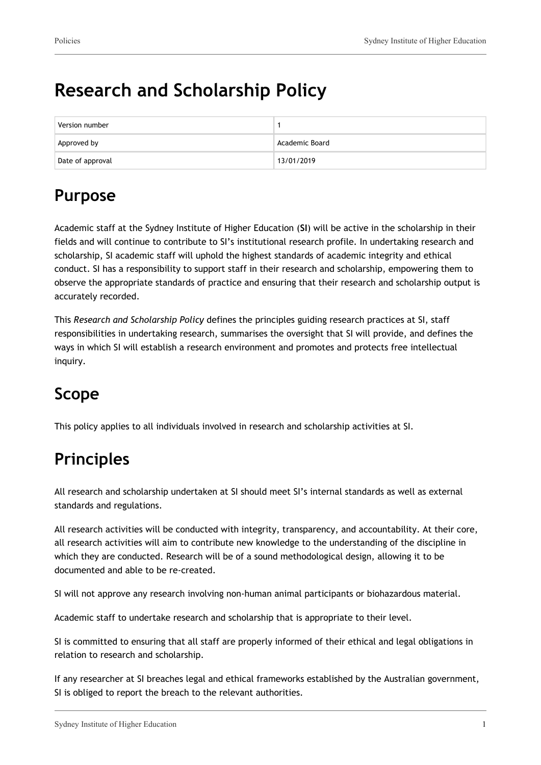# **Research and Scholarship Policy**

| Version number   |                |
|------------------|----------------|
| Approved by      | Academic Board |
| Date of approval | 13/01/2019     |

# **Purpose**

Academic staff at the Sydney Institute of Higher Education (**SI**) will be active in the scholarship in their fields and will continue to contribute to SI's institutional research profile. In undertaking research and scholarship, SI academic staff will uphold the highest standards of academic integrity and ethical conduct. SI has a responsibility to support staff in their research and scholarship, empowering them to observe the appropriate standards of practice and ensuring that their research and scholarship output is accurately recorded.

This *Research and Scholarship Policy* defines the principles guiding research practices at SI, staff responsibilities in undertaking research, summarises the oversight that SI will provide, and defines the ways in which SI will establish a research environment and promotes and protects free intellectual inquiry.

# **Scope**

This policy applies to all individuals involved in research and scholarship activities at SI.

# **Principles**

All research and scholarship undertaken at SI should meet SI's internal standards as well as external standards and regulations.

All research activities will be conducted with integrity, transparency, and accountability. At their core, all research activities will aim to contribute new knowledge to the understanding of the discipline in which they are conducted. Research will be of a sound methodological design, allowing it to be documented and able to be re-created.

SI will not approve any research involving non-human animal participants or biohazardous material.

Academic staff to undertake research and scholarship that is appropriate to their level.

SI is committed to ensuring that all staff are properly informed of their ethical and legal obligations in relation to research and scholarship.

If any researcher at SI breaches legal and ethical frameworks established by the Australian government, SI is obliged to report the breach to the relevant authorities.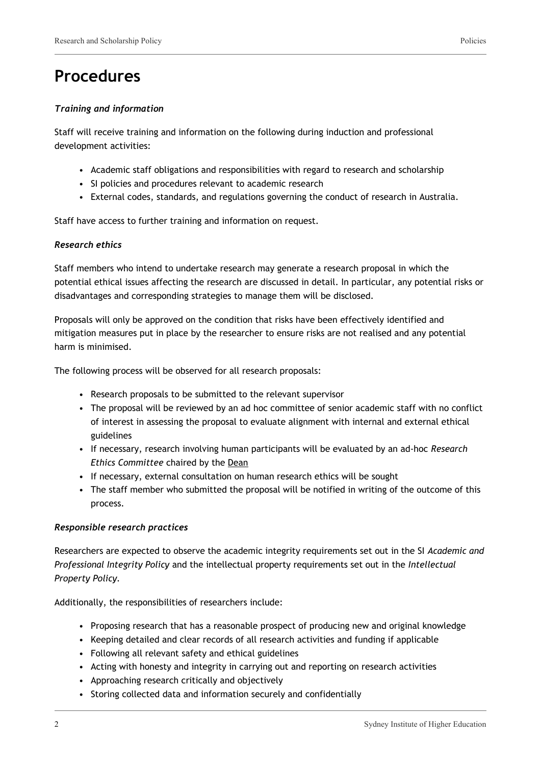### **Procedures**

#### *Training and information*

Staff will receive training and information on the following during induction and professional development activities:

- Academic staff obligations and responsibilities with regard to research and scholarship
- SI policies and procedures relevant to academic research
- External codes, standards, and regulations governing the conduct of research in Australia.

Staff have access to further training and information on request.

#### *Research ethics*

Staff members who intend to undertake research may generate a research proposal in which the potential ethical issues affecting the research are discussed in detail. In particular, any potential risks or disadvantages and corresponding strategies to manage them will be disclosed.

Proposals will only be approved on the condition that risks have been effectively identified and mitigation measures put in place by the researcher to ensure risks are not realised and any potential harm is minimised.

The following process will be observed for all research proposals:

- Research proposals to be submitted to the relevant supervisor
- The proposal will be reviewed by an ad hoc committee of senior academic staff with no conflict of interest in assessing the proposal to evaluate alignment with internal and external ethical guidelines
- If necessary, research involving human participants will be evaluated by an ad-hoc *Research Ethics Committee* chaired by the Dean
- If necessary, external consultation on human research ethics will be sought
- The staff member who submitted the proposal will be notified in writing of the outcome of this process.

#### *Responsible research practices*

Researchers are expected to observe the academic integrity requirements set out in the SI *Academic and Professional Integrity Policy* and the intellectual property requirements set out in the *Intellectual Property Policy.*

Additionally, the responsibilities of researchers include:

- Proposing research that has a reasonable prospect of producing new and original knowledge
- Keeping detailed and clear records of all research activities and funding if applicable
- Following all relevant safety and ethical guidelines
- Acting with honesty and integrity in carrying out and reporting on research activities
- Approaching research critically and objectively
- Storing collected data and information securely and confidentially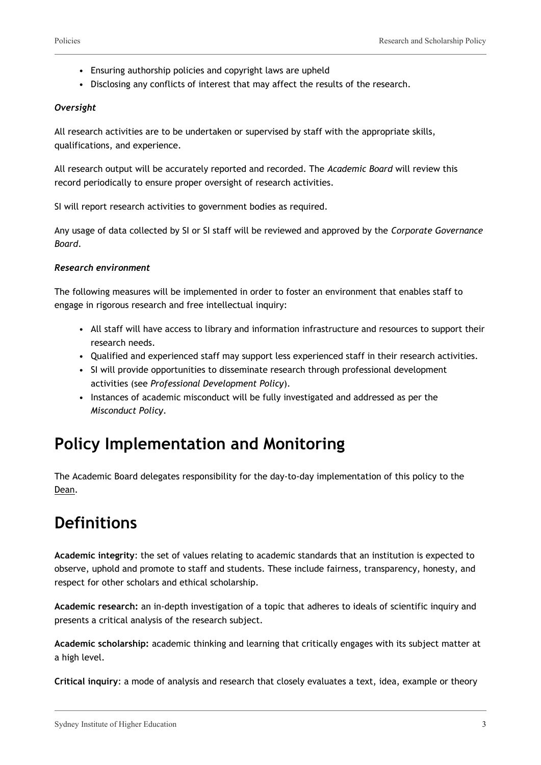- Ensuring authorship policies and copyright laws are upheld
- Disclosing any conflicts of interest that may affect the results of the research.

#### *Oversight*

All research activities are to be undertaken or supervised by staff with the appropriate skills, qualifications, and experience.

All research output will be accurately reported and recorded. The *Academic Board* will review this record periodically to ensure proper oversight of research activities.

SI will report research activities to government bodies as required.

Any usage of data collected by SI or SI staff will be reviewed and approved by the *Corporate Governance Board*.

#### *Research environment*

The following measures will be implemented in order to foster an environment that enables staff to engage in rigorous research and free intellectual inquiry:

- All staff will have access to library and information infrastructure and resources to support their research needs.
- Qualified and experienced staff may support less experienced staff in their research activities.
- SI will provide opportunities to disseminate research through professional development activities (see *Professional Development Policy*).
- Instances of academic misconduct will be fully investigated and addressed as per the *Misconduct Policy*.

## **Policy Implementation and Monitoring**

The Academic Board delegates responsibility for the day-to-day implementation of this policy to the Dean.

## **Definitions**

**Academic integrity**: the set of values relating to academic standards that an institution is expected to observe, uphold and promote to staff and students. These include fairness, transparency, honesty, and respect for other scholars and ethical scholarship.

**Academic research:** an in-depth investigation of a topic that adheres to ideals of scientific inquiry and presents a critical analysis of the research subject.

**Academic scholarship:** academic thinking and learning that critically engages with its subject matter at a high level.

**Critical inquiry**: a mode of analysis and research that closely evaluates a text, idea, example or theory